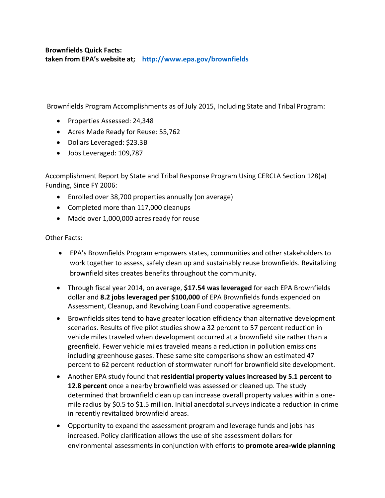**Brownfields Quick Facts: taken from EPA's website at; <http://www.epa.gov/brownfields>**

Brownfields Program Accomplishments as of July 2015, Including State and Tribal Program:

- Properties Assessed: 24,348
- Acres Made Ready for Reuse: 55,762
- Dollars Leveraged: \$23.3B
- Jobs Leveraged: 109,787

Accomplishment Report by State and Tribal Response Program Using CERCLA Section 128(a) Funding, Since FY 2006:

- Enrolled over 38,700 properties annually (on average)
- Completed more than 117,000 cleanups
- Made over 1,000,000 acres ready for reuse

Other Facts:

- EPA's Brownfields Program empowers states, communities and other stakeholders to work together to assess, safely clean up and sustainably reuse brownfields. Revitalizing brownfield sites creates benefits throughout the community.
- Through fiscal year 2014, on average, **\$17.54 was leveraged** for each EPA Brownfields dollar and **8.2 jobs leveraged per \$100,000** of EPA Brownfields funds expended on Assessment, Cleanup, and Revolving Loan Fund cooperative agreements.
- Brownfields sites tend to have greater location efficiency than alternative development scenarios. Results of five pilot studies show a 32 percent to 57 percent reduction in vehicle miles traveled when development occurred at a brownfield site rather than a greenfield. Fewer vehicle miles traveled means a reduction in pollution emissions including greenhouse gases. These same site comparisons show an estimated 47 percent to 62 percent reduction of stormwater runoff for brownfield site development.
- Another EPA study found that **residential property values increased by 5.1 percent to 12.8 percent** once a nearby brownfield was assessed or cleaned up. The study determined that brownfield clean up can increase overall property values within a onemile radius by \$0.5 to \$1.5 million. Initial anecdotal surveys indicate a reduction in crime in recently revitalized brownfield areas.
- Opportunity to expand the assessment program and leverage funds and jobs has increased. Policy clarification allows the use of site assessment dollars for environmental assessments in conjunction with efforts to **promote area-wide planning**